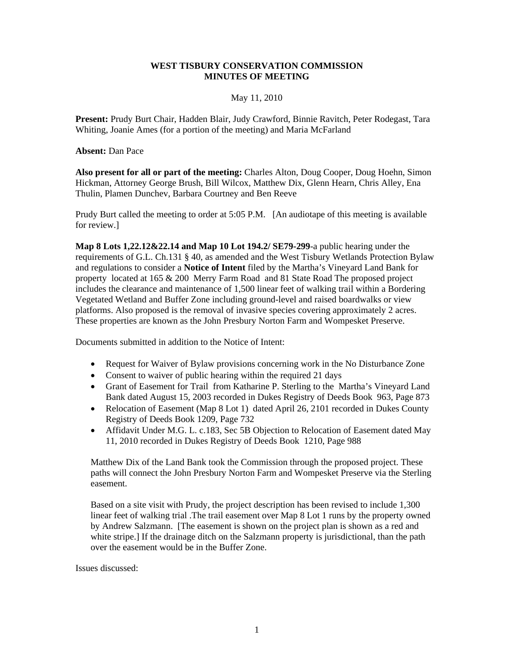### **WEST TISBURY CONSERVATION COMMISSION MINUTES OF MEETING**

### May 11, 2010

**Present:** Prudy Burt Chair, Hadden Blair, Judy Crawford, Binnie Ravitch, Peter Rodegast, Tara Whiting, Joanie Ames (for a portion of the meeting) and Maria McFarland

**Absent:** Dan Pace

**Also present for all or part of the meeting:** Charles Alton, Doug Cooper, Doug Hoehn, Simon Hickman, Attorney George Brush, Bill Wilcox, Matthew Dix, Glenn Hearn, Chris Alley, Ena Thulin, Plamen Dunchev, Barbara Courtney and Ben Reeve

Prudy Burt called the meeting to order at 5:05 P.M. [An audiotape of this meeting is available for review.]

**Map 8 Lots 1,22.12&22.14 and Map 10 Lot 194.2/ SE79-299**-a public hearing under the requirements of G.L. Ch.131 § 40, as amended and the West Tisbury Wetlands Protection Bylaw and regulations to consider a **Notice of Intent** filed by the Martha's Vineyard Land Bank for property located at 165 & 200 Merry Farm Road and 81 State Road The proposed project includes the clearance and maintenance of 1,500 linear feet of walking trail within a Bordering Vegetated Wetland and Buffer Zone including ground-level and raised boardwalks or view platforms. Also proposed is the removal of invasive species covering approximately 2 acres. These properties are known as the John Presbury Norton Farm and Wompesket Preserve.

Documents submitted in addition to the Notice of Intent:

- Request for Waiver of Bylaw provisions concerning work in the No Disturbance Zone
- Consent to waiver of public hearing within the required 21 days
- Grant of Easement for Trail from Katharine P. Sterling to the Martha's Vineyard Land Bank dated August 15, 2003 recorded in Dukes Registry of Deeds Book 963, Page 873
- Relocation of Easement (Map 8 Lot 1) dated April 26, 2101 recorded in Dukes County Registry of Deeds Book 1209, Page 732
- Affidavit Under M.G. L. c.183, Sec 5B Objection to Relocation of Easement dated May 11, 2010 recorded in Dukes Registry of Deeds Book 1210, Page 988

Matthew Dix of the Land Bank took the Commission through the proposed project. These paths will connect the John Presbury Norton Farm and Wompesket Preserve via the Sterling easement.

Based on a site visit with Prudy, the project description has been revised to include 1,300 linear feet of walking trial .The trail easement over Map 8 Lot 1 runs by the property owned by Andrew Salzmann. [The easement is shown on the project plan is shown as a red and white stripe.] If the drainage ditch on the Salzmann property is jurisdictional, than the path over the easement would be in the Buffer Zone.

Issues discussed: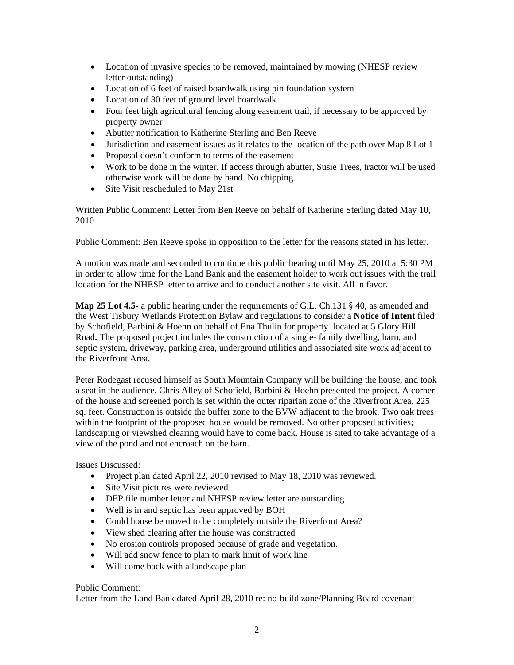- Location of invasive species to be removed, maintained by mowing (NHESP review letter outstanding)
- Location of 6 feet of raised boardwalk using pin foundation system
- Location of 30 feet of ground level boardwalk
- Four feet high agricultural fencing along easement trail, if necessary to be approved by property owner
- Abutter notification to Katherine Sterling and Ben Reeve
- Jurisdiction and easement issues as it relates to the location of the path over Map 8 Lot 1
- Proposal doesn't conform to terms of the easement
- Work to be done in the winter. If access through abutter, Susie Trees, tractor will be used otherwise work will be done by hand. No chipping.
- Site Visit rescheduled to May 21st

Written Public Comment: Letter from Ben Reeve on behalf of Katherine Sterling dated May 10, 2010.

Public Comment: Ben Reeve spoke in opposition to the letter for the reasons stated in his letter.

A motion was made and seconded to continue this public hearing until May 25, 2010 at 5:30 PM in order to allow time for the Land Bank and the easement holder to work out issues with the trail location for the NHESP letter to arrive and to conduct another site visit. All in favor.

**Map 25 Lot 4.5-** a public hearing under the requirements of G.L. Ch.131 § 40, as amended and the West Tisbury Wetlands Protection Bylaw and regulations to consider a **Notice of Intent** filed by Schofield, Barbini & Hoehn on behalf of Ena Thulin for property located at 5 Glory Hill Road**.** The proposed project includes the construction of a single- family dwelling, barn, and septic system, driveway, parking area, underground utilities and associated site work adjacent to the Riverfront Area.

Peter Rodegast recused himself as South Mountain Company will be building the house, and took a seat in the audience. Chris Alley of Schofield, Barbini & Hoehn presented the project. A corner of the house and screened porch is set within the outer riparian zone of the Riverfront Area. 225 sq. feet. Construction is outside the buffer zone to the BVW adjacent to the brook. Two oak trees within the footprint of the proposed house would be removed. No other proposed activities; landscaping or viewshed clearing would have to come back. House is sited to take advantage of a view of the pond and not encroach on the barn.

Issues Discussed:

- Project plan dated April 22, 2010 revised to May 18, 2010 was reviewed.
- Site Visit pictures were reviewed
- DEP file number letter and NHESP review letter are outstanding
- Well is in and septic has been approved by BOH
- Could house be moved to be completely outside the Riverfront Area?
- View shed clearing after the house was constructed
- No erosion controls proposed because of grade and vegetation.
- Will add snow fence to plan to mark limit of work line
- Will come back with a landscape plan

## Public Comment:

Letter from the Land Bank dated April 28, 2010 re: no-build zone/Planning Board covenant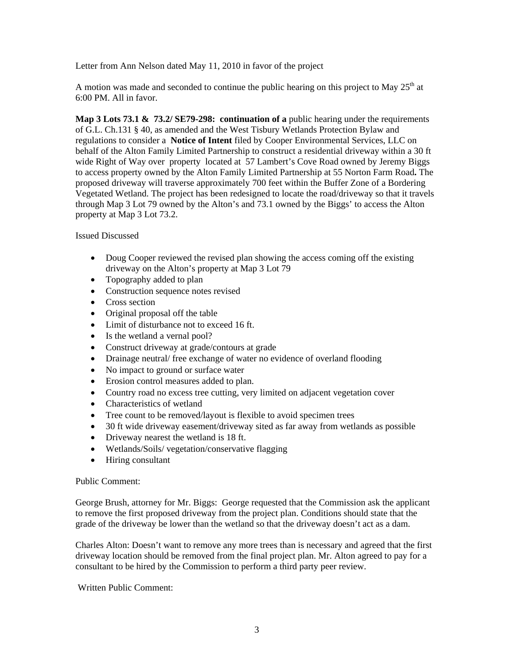Letter from Ann Nelson dated May 11, 2010 in favor of the project

A motion was made and seconded to continue the public hearing on this project to May  $25<sup>th</sup>$  at 6:00 PM. All in favor.

**Map 3 Lots 73.1 & 73.2/ SE79-298: continuation of a** public hearing under the requirements of G.L. Ch.131 § 40, as amended and the West Tisbury Wetlands Protection Bylaw and regulations to consider a **Notice of Intent** filed by Cooper Environmental Services, LLC on behalf of the Alton Family Limited Partnership to construct a residential driveway within a 30 ft wide Right of Way over property located at 57 Lambert's Cove Road owned by Jeremy Biggs to access property owned by the Alton Family Limited Partnership at 55 Norton Farm Road**.** The proposed driveway will traverse approximately 700 feet within the Buffer Zone of a Bordering Vegetated Wetland. The project has been redesigned to locate the road/driveway so that it travels through Map 3 Lot 79 owned by the Alton's and 73.1 owned by the Biggs' to access the Alton property at Map 3 Lot 73.2.

### Issued Discussed

- Doug Cooper reviewed the revised plan showing the access coming off the existing driveway on the Alton's property at Map 3 Lot 79
- Topography added to plan
- Construction sequence notes revised
- Cross section
- Original proposal off the table
- Limit of disturbance not to exceed 16 ft.
- Is the wetland a vernal pool?
- Construct driveway at grade/contours at grade
- Drainage neutral/ free exchange of water no evidence of overland flooding
- No impact to ground or surface water
- Erosion control measures added to plan.
- Country road no excess tree cutting, very limited on adjacent vegetation cover
- Characteristics of wetland
- Tree count to be removed/layout is flexible to avoid specimen trees
- 30 ft wide driveway easement/driveway sited as far away from wetlands as possible
- Driveway nearest the wetland is 18 ft.
- Wetlands/Soils/ vegetation/conservative flagging
- Hiring consultant

#### Public Comment:

George Brush, attorney for Mr. Biggs: George requested that the Commission ask the applicant to remove the first proposed driveway from the project plan. Conditions should state that the grade of the driveway be lower than the wetland so that the driveway doesn't act as a dam.

Charles Alton: Doesn't want to remove any more trees than is necessary and agreed that the first driveway location should be removed from the final project plan. Mr. Alton agreed to pay for a consultant to be hired by the Commission to perform a third party peer review.

#### Written Public Comment: